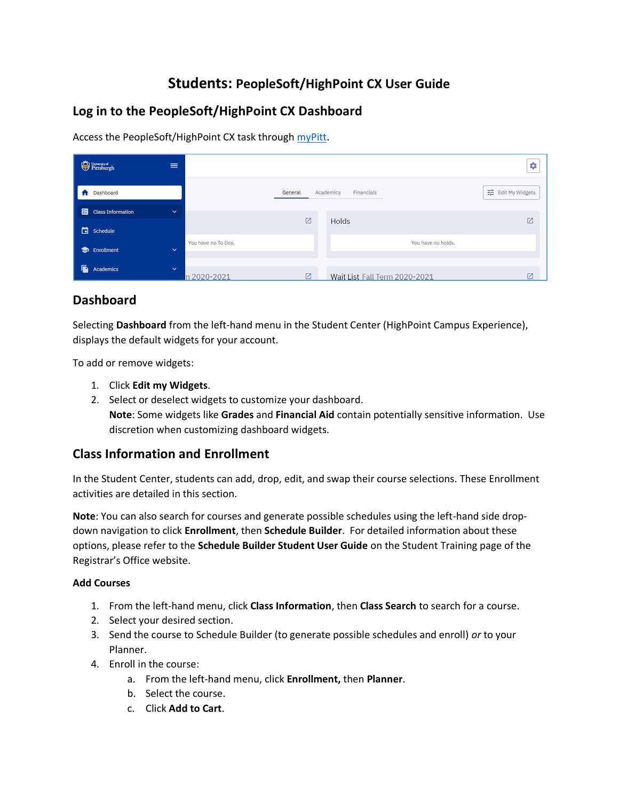# **Students: PeopleSoft/HighPoint CX User Guide**

# **Log in to the PeopleSoft/HighPoint CX Dashboard**

Access the PeopleSoft/HighPoint CX task through [myPitt](http://my.pitt.edu/).

| $\begin{tabular}{ c c } \hline \quad \quad & \quad \quad & \quad \quad & \quad \quad \\ \hline \quad \quad & \quad \quad & \quad \quad & \quad \quad \\ \hline \quad \quad & \quad \quad & \quad \quad & \quad \quad \\ \hline \quad \quad & \quad \quad & \quad \quad & \quad \quad \\ \hline \quad \quad & \quad \quad & \quad \quad & \quad \quad \\ \hline \quad \quad & \quad \quad & \quad \quad & \quad \quad \\ \hline \quad \quad & \quad \quad & \quad \quad & \quad \quad \\ \hline \quad \quad & \quad \quad & \quad \quad & \quad \quad \\ \hline \quad \quad & \quad \quad & \quad \quad & \quad \quad \\ \$ | $\equiv$     |                     |         |                               | ٠                  |
|----------------------------------------------------------------------------------------------------------------------------------------------------------------------------------------------------------------------------------------------------------------------------------------------------------------------------------------------------------------------------------------------------------------------------------------------------------------------------------------------------------------------------------------------------------------------------------------------------------------------------|--------------|---------------------|---------|-------------------------------|--------------------|
| Dashboard                                                                                                                                                                                                                                                                                                                                                                                                                                                                                                                                                                                                                  |              |                     | General | Financials<br>Academics       | 11 Edit My Widgets |
| 图<br><b>Class Information</b>                                                                                                                                                                                                                                                                                                                                                                                                                                                                                                                                                                                              | $\checkmark$ |                     |         |                               |                    |
| Schedule                                                                                                                                                                                                                                                                                                                                                                                                                                                                                                                                                                                                                   |              |                     | ☑       | <b>Holds</b>                  | 囜                  |
| <b>Enrollment</b>                                                                                                                                                                                                                                                                                                                                                                                                                                                                                                                                                                                                          | $\checkmark$ | You have no To Dos. |         | You have no holds.            |                    |
| Ā<br>Academics                                                                                                                                                                                                                                                                                                                                                                                                                                                                                                                                                                                                             | $\checkmark$ | n 2020-2021         |         | Wait List Fall Term 2020-2021 |                    |

# **Dashboard**

Selecting **Dashboard** from the left-hand menu in the Student Center (HighPoint Campus Experience), displays the default widgets for your account.

To add or remove widgets:

- 1. Click **Edit my Widgets**.
- 2. Select or deselect widgets to customize your dashboard. **Note**: Some widgets like **Grades** and **Financial Aid** contain potentially sensitive information. Use discretion when customizing dashboard widgets.

# **Class Information and Enrollment**

In the Student Center, students can add, drop, edit, and swap their course selections. These Enrollment activities are detailed in this section.

**Note**: You can also search for courses and generate possible schedules using the left-hand side dropdown navigation to click **Enrollment**, then **Schedule Builder**. For detailed information about these options, please refer to the **Schedule Builder Student User Guide** on the Student Training page of the Registrar's Office website.

### **Add Courses**

- 1. From the left-hand menu, click **Class Information**, then **Class Search** to search for a course.
- 2. Select your desired section.
- 3. Send the course to Schedule Builder (to generate possible schedules and enroll) *or* to your Planner.
- 4. Enroll in the course:
	- a. From the left-hand menu, click **Enrollment,** then **Planner**.
	- b. Select the course.
	- c. Click **Add to Cart**.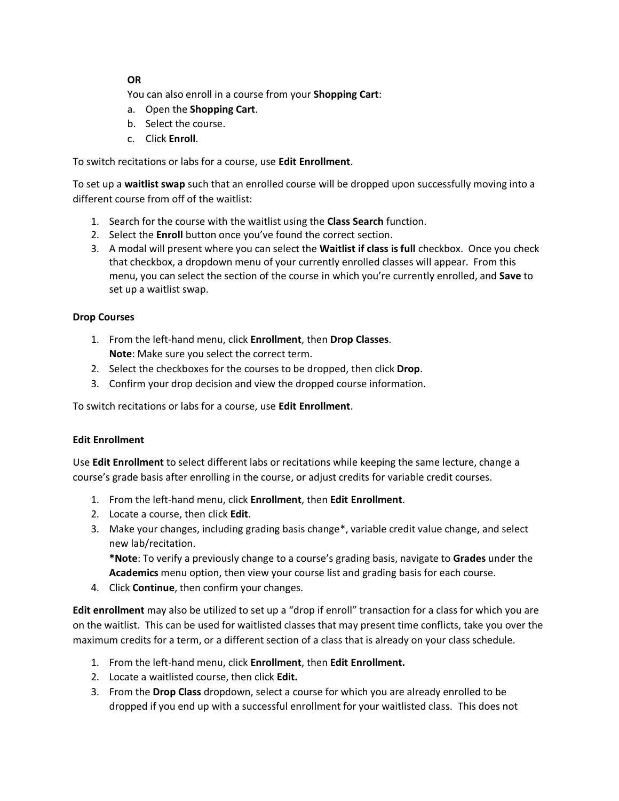### **OR**

You can also enroll in a course from your **Shopping Cart**:

- a. Open the **Shopping Cart**.
- b. Select the course.
- c. Click **Enroll**.

To switch recitations or labs for a course, use **Edit Enrollment**.

To set up a **waitlist swap** such that an enrolled course will be dropped upon successfully moving into a different course from off of the waitlist:

- 1. Search for the course with the waitlist using the **Class Search** function.
- 2. Select the **Enroll** button once you've found the correct section.
- 3. A modal will present where you can select the **Waitlist if class is full** checkbox. Once you check that checkbox, a dropdown menu of your currently enrolled classes will appear. From this menu, you can select the section of the course in which you're currently enrolled, and **Save** to set up a waitlist swap.

#### **Drop Courses**

- 1. From the left-hand menu, click **Enrollment**, then **Drop Classes**. **Note**: Make sure you select the correct term.
- 2. Select the checkboxes for the courses to be dropped, then click **Drop**.
- 3. Confirm your drop decision and view the dropped course information.

To switch recitations or labs for a course, use **Edit Enrollment**.

#### **Edit Enrollment**

Use **Edit Enrollment** to select different labs or recitations while keeping the same lecture, change a course's grade basis after enrolling in the course, or adjust credits for variable credit courses.

- 1. From the left-hand menu, click **Enrollment**, then **Edit Enrollment**.
- 2. Locate a course, then click **Edit**.
- 3. Make your changes, including grading basis change\*, variable credit value change, and select new lab/recitation.

**\*Note**: To verify a previously change to a course's grading basis, navigate to **Grades** under the **Academics** menu option, then view your course list and grading basis for each course.

4. Click **Continue**, then confirm your changes.

**Edit enrollment** may also be utilized to set up a "drop if enroll" transaction for a class for which you are on the waitlist. This can be used for waitlisted classes that may present time conflicts, take you over the maximum credits for a term, or a different section of a class that is already on your class schedule.

- 1. From the left-hand menu, click **Enrollment**, then **Edit Enrollment.**
- 2. Locate a waitlisted course, then click **Edit.**
- 3. From the **Drop Class** dropdown, select a course for which you are already enrolled to be dropped if you end up with a successful enrollment for your waitlisted class. This does not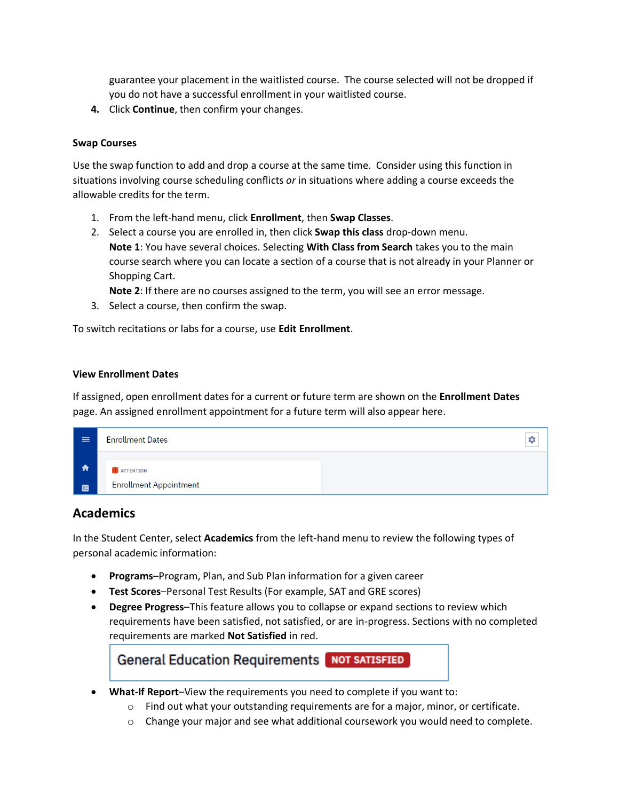guarantee your placement in the waitlisted course. The course selected will not be dropped if you do not have a successful enrollment in your waitlisted course.

**4.** Click **Continue**, then confirm your changes.

#### **Swap Courses**

Use the swap function to add and drop a course at the same time. Consider using this function in situations involving course scheduling conflicts *or* in situations where adding a course exceeds the allowable credits for the term.

- 1. From the left-hand menu, click **Enrollment**, then **Swap Classes**.
- 2. Select a course you are enrolled in, then click **Swap this class** drop-down menu. **Note 1**: You have several choices. Selecting **With Class from Search** takes you to the main course search where you can locate a section of a course that is not already in your Planner or Shopping Cart.

**Note 2**: If there are no courses assigned to the term, you will see an error message.

3. Select a course, then confirm the swap.

To switch recitations or labs for a course, use **Edit Enrollment**.

#### **View Enrollment Dates**

If assigned, open enrollment dates for a current or future term are shown on the **Enrollment Dates** page. An assigned enrollment appointment for a future term will also appear here.

| $\equiv$    | <b>Enrollment Dates</b>       |  |  |
|-------------|-------------------------------|--|--|
| $\bigwedge$ | <b>I</b> ATTENTION            |  |  |
| 圈           | <b>Enrollment Appointment</b> |  |  |

### **Academics**

In the Student Center, select **Academics** from the left-hand menu to review the following types of personal academic information:

- **Programs**–Program, Plan, and Sub Plan information for a given career
- **Test Scores**–Personal Test Results (For example, SAT and GRE scores)
- **Degree Progress**–This feature allows you to collapse or expand sections to review which requirements have been satisfied, not satisfied, or are in-progress. Sections with no completed requirements are marked **Not Satisfied** in red.



 $\circ$  Change your major and see what additional coursework you would need to complete.